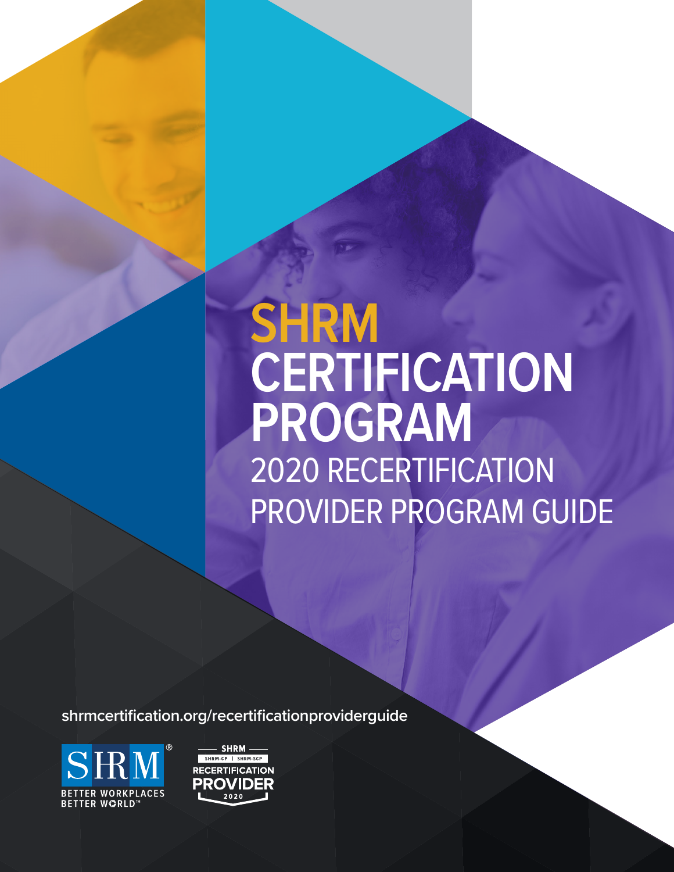# **SHRM CERTIFICATION PROGRAM** 2020 RECERTIFICATION PROVIDER PROGRAM GUIDE

**shrmcertification.org/recertificationproviderguide**



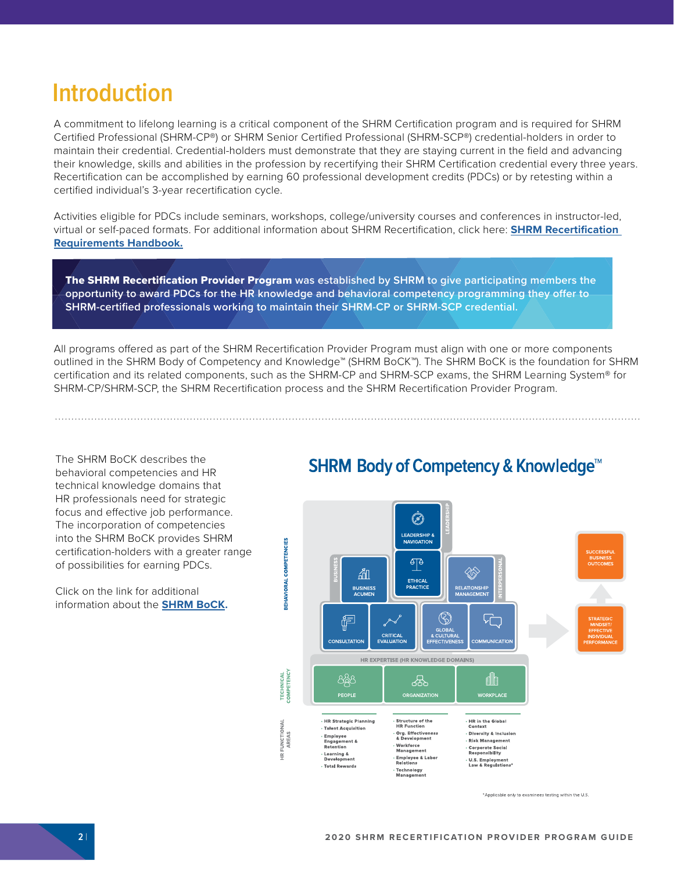# **Introduction**

A commitment to lifelong learning is a critical component of the SHRM Certification program and is required for SHRM Certified Professional (SHRM-CP®) or SHRM Senior Certified Professional (SHRM-SCP®) credential-holders in order to maintain their credential. Credential-holders must demonstrate that they are staying current in the field and advancing their knowledge, skills and abilities in the profession by recertifying their SHRM Certification credential every three years. Recertification can be accomplished by earning 60 professional development credits (PDCs) or by retesting within a certified individual's 3-year recertification cycle.

Activities eligible for PDCs include seminars, workshops, college/university courses and conferences in instructor-led, virtual or self-paced formats. For additional information about SHRM Recertification, click here: **[SHRM Recertification](https://www.shrm.org/certification/recertification/Recertification-Requirements/Documents/181410%202019%20Recert%20Handbook_FNL_1.pdf)  [Requirements Handbook](https://www.shrm.org/certification/recertification/Recertification-Requirements/Documents/181410%202019%20Recert%20Handbook_FNL_1.pdf).**

The SHRM Recertification Provider Program **was established by SHRM to give participating members the opportunity to award PDCs for the HR knowledge and behavioral competency programming they offer to SHRM-certified professionals working to maintain their SHRM-CP or SHRM-SCP credential.**

All programs offered as part of the SHRM Recertification Provider Program must align with one or more components outlined in the SHRM Body of Competency and Knowledge™ (SHRM BoCK™). The SHRM BoCK is the foundation for SHRM certification and its related components, such as the SHRM-CP and SHRM-SCP exams, the SHRM Learning System® for SHRM-CP/SHRM-SCP, the SHRM Recertification process and the SHRM Recertification Provider Program.

The SHRM BoCK describes the behavioral competencies and HR technical knowledge domains that HR professionals need for strategic focus and effective job performance. The incorporation of competencies into the SHRM BoCK provides SHRM certification-holders with a greater range of possibilities for earning PDCs.

Click on the link for additional information about the **[SHRM BoCK.](https://www.shrm.org/certification/about/body-of-competency-and-knowledge/Pages/Download-SHRM-BoCK.aspx)**

### **SHRM Body of Competency & Knowledge<sup>™</sup>**



\*Applicable only to examinees testing within the U.S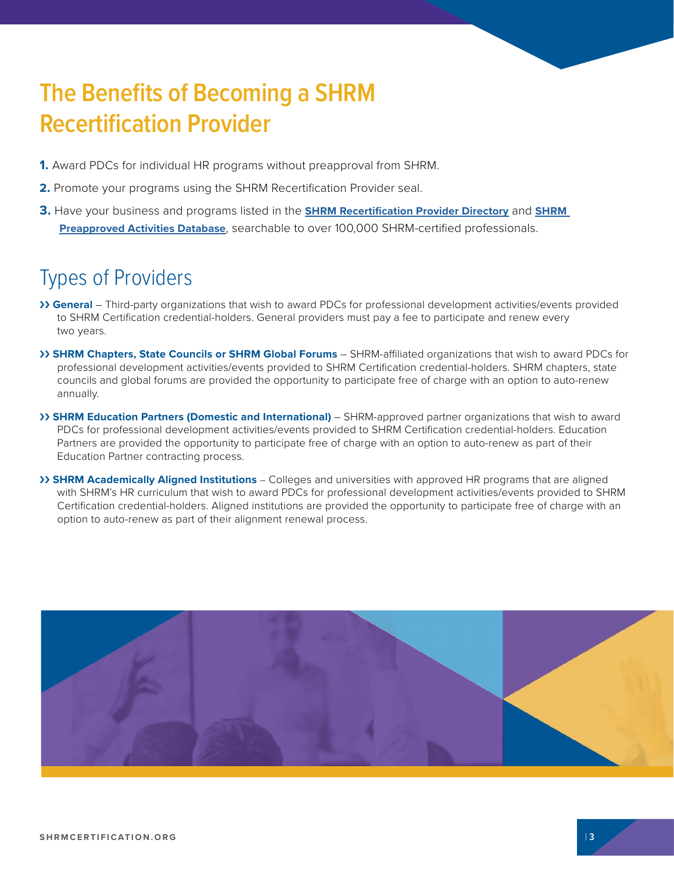# **The Benefits of Becoming a SHRM Recertification Provider**

- **1.** Award PDCs for individual HR programs without preapproval from SHRM.
- **2.** Promote your programs using the SHRM Recertification Provider seal.
- **3.** Have your business and programs listed in the **[SHRM Recertification Provider Directory](https://portal.shrm.org/Public/PreferredProviderDirectory.aspx?selmenid=men3)** and **[SHRM](https://portal.shrm.org/Education/History/Classes.aspx?selmenid=men2&_ga=2.12247348.1643562493.1566223705-270532116.1452004144)  [Preapproved Activities Database](https://portal.shrm.org/Education/History/Classes.aspx?selmenid=men2&_ga=2.12247348.1643562493.1566223705-270532116.1452004144)**, searchable to over 100,000 SHRM-certified professionals.

# Types of Providers

- ›› **General**  Third-party organizations that wish to award PDCs for professional development activities/events provided to SHRM Certification credential-holders. General providers must pay a fee to participate and renew every two years.
- ›› **SHRM Chapters, State Councils or SHRM Global Forums** SHRM-affiliated organizations that wish to award PDCs for professional development activities/events provided to SHRM Certification credential-holders. SHRM chapters, state councils and global forums are provided the opportunity to participate free of charge with an option to auto-renew annually.
- ›› **SHRM Education Partners (Domestic and International)** SHRM-approved partner organizations that wish to award PDCs for professional development activities/events provided to SHRM Certification credential-holders. Education Partners are provided the opportunity to participate free of charge with an option to auto-renew as part of their Education Partner contracting process.
- ›› **SHRM Academically Aligned Institutions** Colleges and universities with approved HR programs that are aligned with SHRM's HR curriculum that wish to award PDCs for professional development activities/events provided to SHRM Certification credential-holders. Aligned institutions are provided the opportunity to participate free of charge with an option to auto-renew as part of their alignment renewal process.

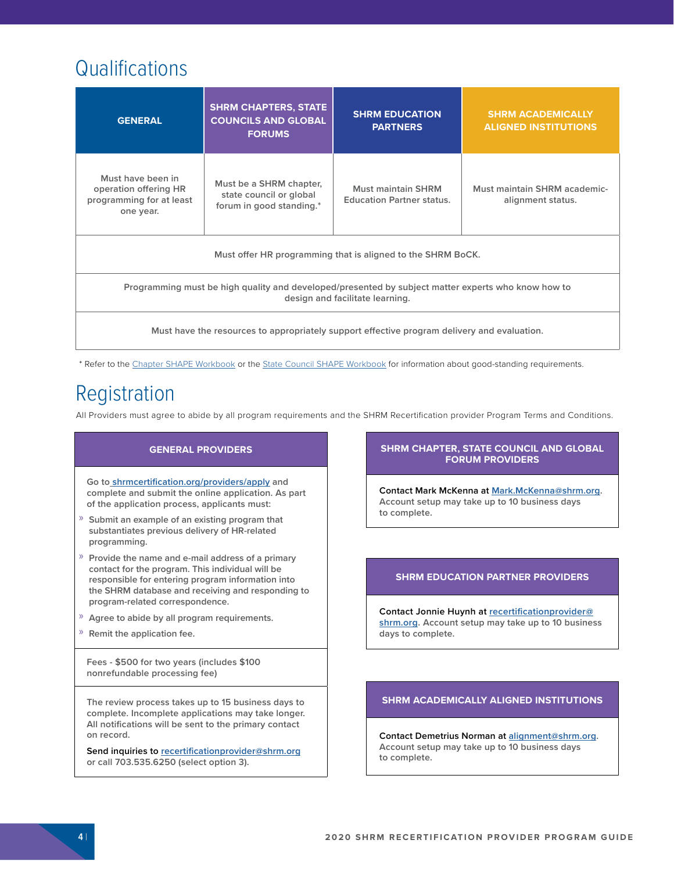# **Qualifications**

| <b>GENERAL</b>                                                                                                                        | <b>SHRM CHAPTERS, STATE</b><br><b>COUNCILS AND GLOBAL</b><br><b>FORUMS</b>     | <b>SHRM EDUCATION</b><br><b>PARTNERS</b>               | <b>SHRM ACADEMICALLY</b><br><b>ALIGNED INSTITUTIONS</b> |  |
|---------------------------------------------------------------------------------------------------------------------------------------|--------------------------------------------------------------------------------|--------------------------------------------------------|---------------------------------------------------------|--|
| Must have been in<br>operation offering HR<br>programming for at least<br>one year.                                                   | Must be a SHRM chapter,<br>state council or global<br>forum in good standing.* | Must maintain SHRM<br><b>Education Partner status.</b> | Must maintain SHRM academic-<br>alignment status.       |  |
| Must offer HR programming that is aligned to the SHRM BoCK.                                                                           |                                                                                |                                                        |                                                         |  |
| Programming must be high quality and developed/presented by subject matter experts who know how to<br>design and facilitate learning. |                                                                                |                                                        |                                                         |  |
| Must have the resources to appropriately support effective program delivery and evaluation.                                           |                                                                                |                                                        |                                                         |  |

\* Refer to the [Chapter SHAPE Workbook](https://higherlogicdownload.s3.amazonaws.com/SHRM/5daba5d4-58eb-4d01-93e8-648c8ae262c4/UploadedImages/190001_2019_Chapter_SHAPE_Brochure_Final.pdf) or the [State Council SHAPE Workbook](https://higherlogicdownload.s3.amazonaws.com/SHRM/5daba5d4-58eb-4d01-93e8-648c8ae262c4/UploadedImages/190001_2019_STATE_Council_SHAPE_Brochure_Final.pd) for information about good-standing requirements.

# Registration

All Providers must agree to abide by all program requirements and the SHRM Recertification provider Program Terms and Conditions.

#### **GENERAL PROVIDERS**

**Go to [shrmcertification.org/providers/apply a](https://portal.shrm.org/Login.aspx?ReturnUrl=/Profile/Default.aspx&provider=true&_ga=2.207253338.818570408.1557144386-270532116.1452004144)nd complete and submit the online application. As part of the application process, applicants must:**

- » **Submit an example of an existing program that substantiates previous delivery of HR-related programming.**
- » **Provide the name and e-mail address of a primary contact for the program. This individual will be responsible for entering program information into the SHRM database and receiving and responding to program-related correspondence.**
- » **Agree to abide by all program requirements.**
- » **Remit the application fee.**

**Fees - \$500 for two years (includes \$100 nonrefundable processing fee)**

**The review process takes up to 15 business days to complete. Incomplete applications may take longer. All notifications will be sent to the primary contact on record.** 

**Send inquiries to recertificationprovider@shrm.org or call 703.535.6250 (select option 3).**

#### **SHRM CHAPTER, STATE COUNCIL AND GLOBAL FORUM PROVIDERS**

**Contact Mark McKenna at Mark.McKenna@shrm.org. Account setup may take up to 10 business days to complete.**

#### **SHRM EDUCATION PARTNER PROVIDERS**

**Contact Jonnie Huynh at recertificationprovider@ shrm.org. Account setup may take up to 10 business days to complete.**

#### **SHRM ACADEMICALLY ALIGNED INSTITUTIONS**

**Contact Demetrius Norman at alignment@shrm.org. Account setup may take up to 10 business days to complete.**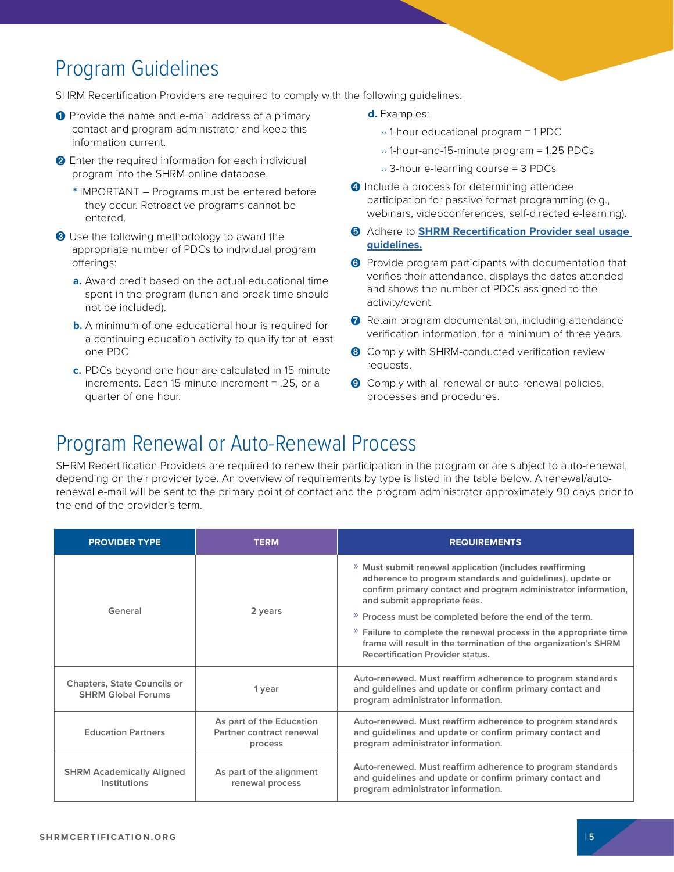# Program Guidelines

SHRM Recertification Providers are required to comply with the following guidelines:

- ➊ Provide the name and e-mail address of a primary contact and program administrator and keep this information current.
- **O** Enter the required information for each individual program into the SHRM online database.
	- **\*** IMPORTANT Programs must be entered before they occur. Retroactive programs cannot be entered.
- ➌ Use the following methodology to award the appropriate number of PDCs to individual program offerings:
	- **a.** Award credit based on the actual educational time spent in the program (lunch and break time should not be included).
	- **b.** A minimum of one educational hour is required for a continuing education activity to qualify for at least one PDC.
	- **c.** PDCs beyond one hour are calculated in 15-minute increments. Each 15-minute increment = .25, or a quarter of one hour.
- **d.** Examples:
	- $\rightarrow$  1-hour educational program = 1 PDC
	- $\rightarrow$  1-hour-and-15-minute program = 1.25 PDCs
	- $\rightarrow$  3-hour e-learning course = 3 PDCs
- ➍ Include a process for determining attendee participation for passive-format programming (e.g., webinars, videoconferences, self-directed e-learning).
- ➎ Adhere to **[SHRM Recertification Provider seal usage](https://www.shrm.org/certification/for-organizations/recertification-providers/Documents/SHRM-Recertification-Provider-2019-Seal-Usage-Guidelines.pdf)  [guidelines.](https://www.shrm.org/certification/for-organizations/recertification-providers/Documents/SHRM-Recertification-Provider-2019-Seal-Usage-Guidelines.pdf)**
- ➏ Provide program participants with documentation that verifies their attendance, displays the dates attended and shows the number of PDCs assigned to the activity/event.
- **↑** Retain program documentation, including attendance verification information, for a minimum of three years.
- **8** Comply with SHRM-conducted verification review requests.
- ➒ Comply with all renewal or auto-renewal policies, processes and procedures.

### Program Renewal or Auto-Renewal Process

SHRM Recertification Providers are required to renew their participation in the program or are subject to auto-renewal, depending on their provider type. An overview of requirements by type is listed in the table below. A renewal/autorenewal e-mail will be sent to the primary point of contact and the program administrator approximately 90 days prior to the end of the provider's term.

| <b>PROVIDER TYPE</b>                                            | <b>TERM</b>                                                                                                                                                            | <b>REQUIREMENTS</b>                                                                                                                                                                                                    |  |
|-----------------------------------------------------------------|------------------------------------------------------------------------------------------------------------------------------------------------------------------------|------------------------------------------------------------------------------------------------------------------------------------------------------------------------------------------------------------------------|--|
| General                                                         | 2 years                                                                                                                                                                | » Must submit renewal application (includes reaffirming<br>adherence to program standards and guidelines), update or<br>confirm primary contact and program administrator information,<br>and submit appropriate fees. |  |
|                                                                 |                                                                                                                                                                        | » Process must be completed before the end of the term.                                                                                                                                                                |  |
|                                                                 |                                                                                                                                                                        | » Failure to complete the renewal process in the appropriate time<br>frame will result in the termination of the organization's SHRM<br><b>Recertification Provider status.</b>                                        |  |
| <b>Chapters, State Councils or</b><br><b>SHRM Global Forums</b> | Auto-renewed. Must reaffirm adherence to program standards<br>and guidelines and update or confirm primary contact and<br>1 year<br>program administrator information. |                                                                                                                                                                                                                        |  |
| <b>Education Partners</b>                                       | As part of the Education<br>Partner contract renewal<br>process                                                                                                        | Auto-renewed. Must reaffirm adherence to program standards<br>and guidelines and update or confirm primary contact and<br>program administrator information.                                                           |  |
| <b>SHRM Academically Aligned</b><br>Institutions                | As part of the alignment<br>renewal process                                                                                                                            | Auto-renewed. Must reaffirm adherence to program standards<br>and guidelines and update or confirm primary contact and<br>program administrator information.                                                           |  |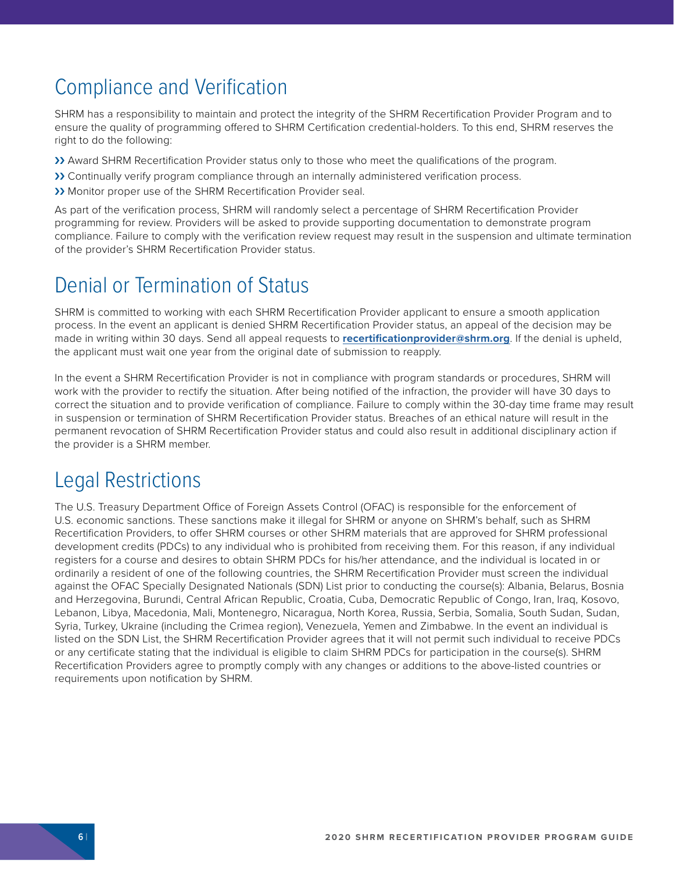# Compliance and Verification

SHRM has a responsibility to maintain and protect the integrity of the SHRM Recertification Provider Program and to ensure the quality of programming offered to SHRM Certification credential-holders. To this end, SHRM reserves the right to do the following:

- >> Award SHRM Recertification Provider status only to those who meet the qualifications of the program.
- >> Continually verify program compliance through an internally administered verification process.
- ›› Monitor proper use of the SHRM Recertification Provider seal.

As part of the verification process, SHRM will randomly select a percentage of SHRM Recertification Provider programming for review. Providers will be asked to provide supporting documentation to demonstrate program compliance. Failure to comply with the verification review request may result in the suspension and ultimate termination of the provider's SHRM Recertification Provider status.

### Denial or Termination of Status

SHRM is committed to working with each SHRM Recertification Provider applicant to ensure a smooth application process. In the event an applicant is denied SHRM Recertification Provider status, an appeal of the decision may be made in writing within 30 days. Send all appeal requests to **[recertificationprovider@shrm.org](mailto:recertificationprovider%40shrm.org?subject=)**. If the denial is upheld, the applicant must wait one year from the original date of submission to reapply.

In the event a SHRM Recertification Provider is not in compliance with program standards or procedures, SHRM will work with the provider to rectify the situation. After being notified of the infraction, the provider will have 30 days to correct the situation and to provide verification of compliance. Failure to comply within the 30-day time frame may result in suspension or termination of SHRM Recertification Provider status. Breaches of an ethical nature will result in the permanent revocation of SHRM Recertification Provider status and could also result in additional disciplinary action if the provider is a SHRM member.

### Legal Restrictions

The U.S. Treasury Department Office of Foreign Assets Control (OFAC) is responsible for the enforcement of U.S. economic sanctions. These sanctions make it illegal for SHRM or anyone on SHRM's behalf, such as SHRM Recertification Providers, to offer SHRM courses or other SHRM materials that are approved for SHRM professional development credits (PDCs) to any individual who is prohibited from receiving them. For this reason, if any individual registers for a course and desires to obtain SHRM PDCs for his/her attendance, and the individual is located in or ordinarily a resident of one of the following countries, the SHRM Recertification Provider must screen the individual against the OFAC Specially Designated Nationals (SDN) List prior to conducting the course(s): Albania, Belarus, Bosnia and Herzegovina, Burundi, Central African Republic, Croatia, Cuba, Democratic Republic of Congo, Iran, Iraq, Kosovo, Lebanon, Libya, Macedonia, Mali, Montenegro, Nicaragua, North Korea, Russia, Serbia, Somalia, South Sudan, Sudan, Syria, Turkey, Ukraine (including the Crimea region), Venezuela, Yemen and Zimbabwe. In the event an individual is listed on the SDN List, the SHRM Recertification Provider agrees that it will not permit such individual to receive PDCs or any certificate stating that the individual is eligible to claim SHRM PDCs for participation in the course(s). SHRM Recertification Providers agree to promptly comply with any changes or additions to the above-listed countries or requirements upon notification by SHRM.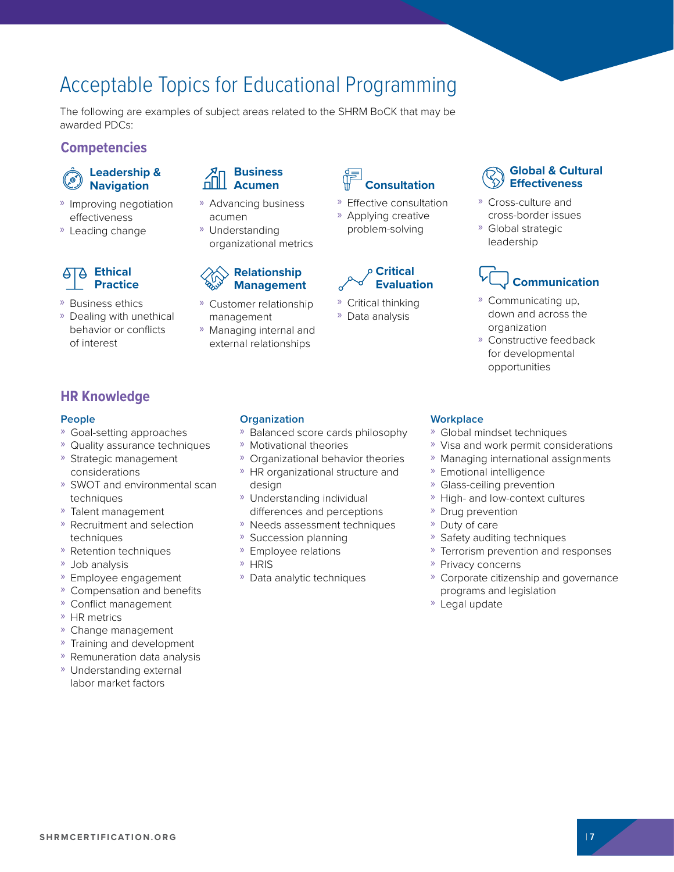# Acceptable Topics for Educational Programming

The following are examples of subject areas related to the SHRM BoCK that may be awarded PDCs:

### **Competencies**

### **Leadership & Navigation**

- » Improving negotiation effectiveness
- » Leading change

### **Ethical Practice**

- » Business ethics
- » Dealing with unethical behavior or conflicts of interest

### **Business Acumen**

- » Advancing business acumen
- » Understanding organizational metrics

### **Relationship Management**

- » Customer relationship management
- » Managing internal and external relationships



» Effective consultation » Applying creative problem-solving



- » Critical thinking
- » Data analysis

### **Global & Cultural Effectiveness**

- » Cross-culture and cross-border issues
- » Global strategic leadership

# **Communication**

- » Communicating up, down and across the organization
- » Constructive feedback for developmental opportunities

### **HR Knowledge**

### **People**

- » Goal-setting approaches
- » Quality assurance techniques
- » Strategic management considerations
- » SWOT and environmental scan techniques
- » Talent management
- » Recruitment and selection techniques
- » Retention techniques
- » Job analysis
- » Employee engagement
- » Compensation and benefits
- » Conflict management
- » HR metrics
- » Change management
- » Training and development
- » Remuneration data analysis
- » Understanding external labor market factors

### **Organization**

- » Balanced score cards philosophy
- » Motivational theories
- » Organizational behavior theories
- » HR organizational structure and design
- » Understanding individual differences and perceptions
- » Needs assessment techniques
- » Succession planning
- » Employee relations
- » HRIS
- » Data analytic techniques

#### **Workplace**

- » Global mindset techniques
- » Visa and work permit considerations
- » Managing international assignments
- » Emotional intelligence
- » Glass-ceiling prevention
- » High- and low-context cultures
- » Drug prevention
- » Duty of care
- » Safety auditing techniques
- » Terrorism prevention and responses
- » Privacy concerns
- » Corporate citizenship and governance programs and legislation
- » Legal update